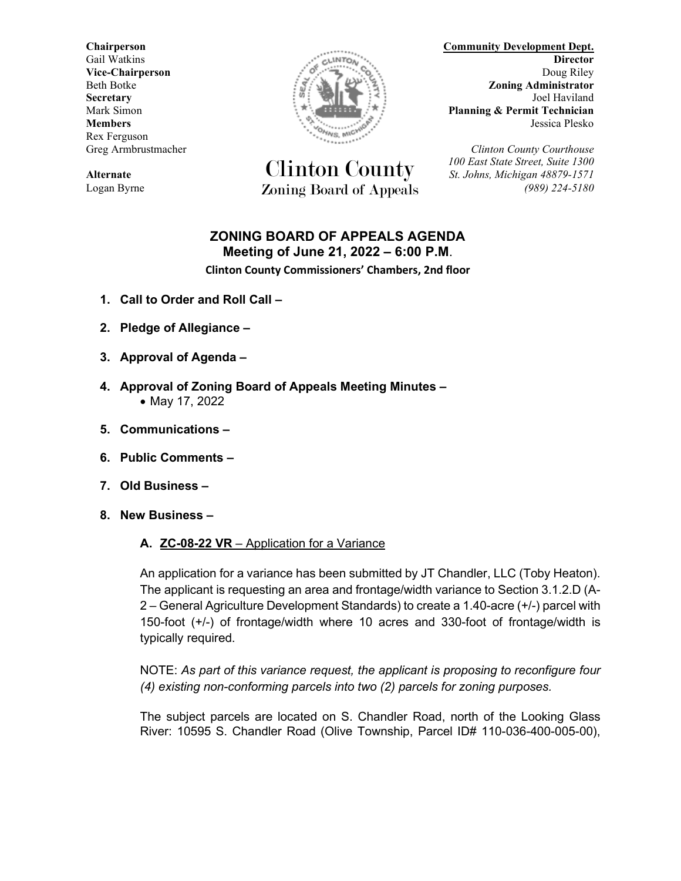Rex Ferguson



**Alternate** *St. Johns, Michigan 48879-1571* Logan Byrne *Zoning Board of Appeals* (989) 224-5180

**Chairperson Community Development Dept.** Gail Watkins **Director Director CALLINTON CALLINTON Director Vice-Chairperson** Doug Riley **Doug Riley** Beth Botke **Zoning Administrator Secretary** Joel Haviland **Electric Secretary** Joel Haviland Mark Simon **Planning & Permit Technician Members** Jessica Plesko

Greg Armbrustmacher *Clinton County Courthouse* Clinton County *100 East State Street, Suite 1300*

### **ZONING BOARD OF APPEALS AGENDA Meeting of June 21, 2022 – 6:00 P.M**.

**Clinton County Commissioners' Chambers, 2nd floor**

- **1. Call to Order and Roll Call –**
- **2. Pledge of Allegiance –**
- **3. Approval of Agenda –**
- **4. Approval of Zoning Board of Appeals Meeting Minutes –** • May 17, 2022
- **5. Communications –**
- **6. Public Comments –**
- **7. Old Business –**
- **8. New Business –**

#### **A. ZC-08-22 VR** – Application for a Variance

An application for a variance has been submitted by JT Chandler, LLC (Toby Heaton). The applicant is requesting an area and frontage/width variance to Section 3.1.2.D (A-2 – General Agriculture Development Standards) to create a 1.40-acre (+/-) parcel with 150-foot (+/-) of frontage/width where 10 acres and 330-foot of frontage/width is typically required.

NOTE: *As part of this variance request, the applicant is proposing to reconfigure four (4) existing non-conforming parcels into two (2) parcels for zoning purposes.*

The subject parcels are located on S. Chandler Road, north of the Looking Glass River: 10595 S. Chandler Road (Olive Township, Parcel ID# 110-036-400-005-00),